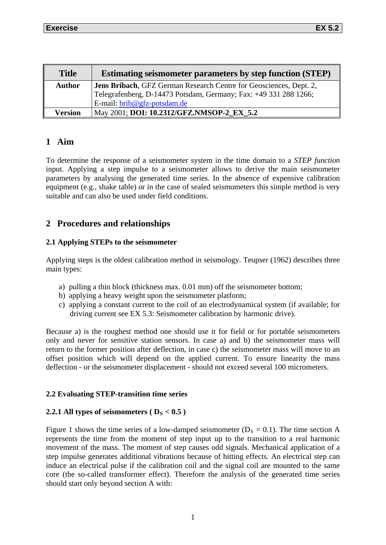| <b>Title</b>   | <b>Estimating seismometer parameters by step function (STEP)</b>   |
|----------------|--------------------------------------------------------------------|
| <b>Author</b>  | Jens Bribach, GFZ German Research Centre for Geosciences, Dept. 2, |
|                | Telegrafenberg, D-14473 Potsdam, Germany; Fax: +49 331 288 1266;   |
|                | $E$ -mail: $brib@gfz-potsdam.de$                                   |
| <b>Version</b> | May 2001; DOI: 10.2312/GFZ.NMSOP-2 EX 5.2                          |

## **1 Aim**

To determine the response of a seismometer system in the time domain to a *STEP function* input. Applying a step impulse to a seismometer allows to derive the main seismometer parameters by analysing the generated time series. In the absence of expensive calibration equipment (e.g., shake table) or in the case of sealed seismometers this simple method is very suitable and can also be used under field conditions.

# **2 Procedures and relationships**

## **2.1 Applying STEPs to the seismometer**

Applying steps is the oldest calibration method in seismology. Teupser (1962) describes three main types:

- a) pulling a thin block (thickness max. 0.01 mm) off the seismometer bottom;
- b) applying a heavy weight upon the seismometer platform;
- c) applying a constant current to the coil of an electrodynamical system (if available; for driving current see EX 5.3: Seismometer calibration by harmonic drive).

Because a) is the roughest method one should use it for field or for portable seismometers only and never for sensitive station sensors. In case a) and b) the seismometer mass will return to the former position after deflection, in case c) the seismometer mass will move to an offset position which will depend on the applied current. To ensure linearity the mass deflection - or the seismometer displacement - should not exceed several 100 micrometers.

## **2.2 Evaluating STEP-transition time series**

## **2.2.1 All types of seismometers (** $D_S < 0.5$ **)**

Figure 1 shows the time series of a low-damped seismometer ( $D_s = 0.1$ ). The time section A represents the time from the moment of step input up to the transition to a real harmonic movement of the mass. The moment of step causes odd signals. Mechanical application of a step impulse generates additional vibrations because of hitting effects. An electrical step can induce an electrical pulse if the calibration coil and the signal coil are mounted to the same core (the so-called transformer effect). Therefore the analysis of the generated time series should start only beyond section A with: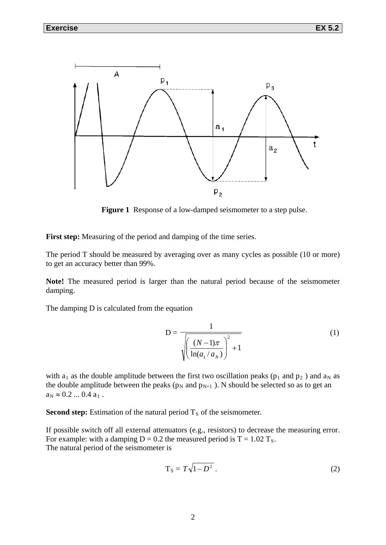

**Figure 1** Response of a low-damped seismometer to a step pulse.

First step: Measuring of the period and damping of the time series.

The period T should be measured by averaging over as many cycles as possible (10 or more) to get an accuracy better than 99%.

**Note!** The measured period is larger than the natural period because of the seismometer damping.

The damping D is calculated from the equation

$$
D = \frac{1}{\sqrt{\left(\frac{(N-1)\pi}{\ln(a_1/a_N)}\right)^2 + 1}}
$$
(1)

with  $a_1$  as the double amplitude between the first two oscillation peaks ( $p_1$  and  $p_2$ ) and  $a_N$  as the double amplitude between the peaks ( $p_N$  and  $p_{N+1}$ ). N should be selected so as to get an  $a_N \approx 0.2 ... 0.4 a_1$ .

**Second step:** Estimation of the natural period  $T<sub>S</sub>$  of the seismometer.

If possible switch off all external attenuators (e.g., resistors) to decrease the measuring error. For example: with a damping  $D = 0.2$  the measured period is  $T = 1.02$  T<sub>s</sub>. The natural period of the seismometer is

$$
T_S = T\sqrt{1 - D^2} \tag{2}
$$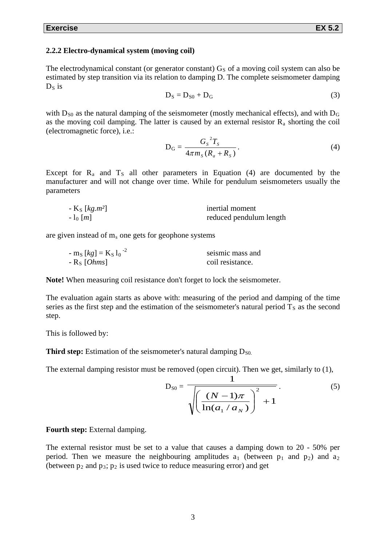#### **2.2.2 Electro-dynamical system (moving coil)**

The electrodynamical constant (or generator constant)  $G<sub>S</sub>$  of a moving coil system can also be estimated by step transition via its relation to damping D. The complete seismometer damping  $D<sub>S</sub>$  is

$$
D_S = D_{S0} + D_G \tag{3}
$$

with  $D_{S0}$  as the natural damping of the seismometer (mostly mechanical effects), and with  $D_{G}$ as the moving coil damping. The latter is caused by an external resistor  $R_a$  shorting the coil (electromagnetic force), i.e.:

$$
D_{G} = \frac{G_{S}^{2}T_{S}}{4\pi m_{S}(R_{a} + R_{S})}.
$$
\n(4)

Except for  $R_a$  and  $T_s$  all other parameters in Equation (4) are documented by the manufacturer and will not change over time. While for pendulum seismometers usually the parameters

| - $K_S$ [ $kg.m^2$ ] | inertial moment         |
|----------------------|-------------------------|
| $-1_0$ [ <i>m</i> ]  | reduced pendulum length |

are given instead of  $m_s$  one gets for geophone systems

| $-$ m <sub>S</sub> [kg] = K <sub>S</sub> 1 <sub>0</sub> <sup>-2</sup> | seismic mass and |
|-----------------------------------------------------------------------|------------------|
| - $R_s$ [ <i>Ohms</i> ]                                               | coil resistance. |

**Note!** When measuring coil resistance don't forget to lock the seismometer.

The evaluation again starts as above with: measuring of the period and damping of the time series as the first step and the estimation of the seismometer's natural period  $T<sub>S</sub>$  as the second step.

This is followed by:

**Third step:** Estimation of the seismometer's natural damping  $D_{S0}$ .

The external damping resistor must be removed (open circuit). Then we get, similarly to (1),

$$
D_{S0} = \frac{1}{\sqrt{\left(\frac{(N-1)\pi}{\ln(a_1/a_N)}\right)^2 + 1}}.
$$
 (5)

**Fourth step:** External damping.

The external resistor must be set to a value that causes a damping down to 20 - 50% per period. Then we measure the neighbouring amplitudes  $a_1$  (between  $p_1$  and  $p_2$ ) and  $a_2$ (between  $p_2$  and  $p_3$ ;  $p_2$  is used twice to reduce measuring error) and get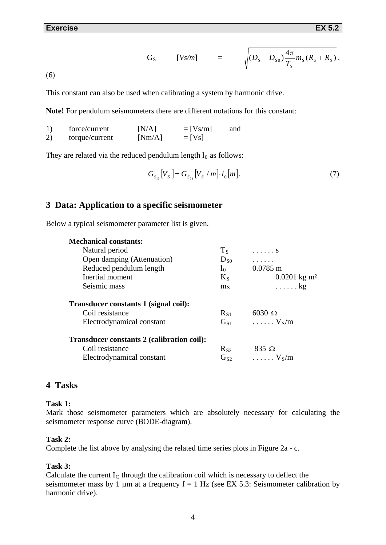G<sub>S</sub> 
$$
[Vs/m]
$$
 =  $\sqrt{(D_s - D_{s0}) \frac{4\pi}{T_s} m_s (R_a + R_s)}$ .

(6)

This constant can also be used when calibrating a system by harmonic drive.

**Note!** For pendulum seismometers there are different notations for this constant:

|    | force/current  | [N/A]  | $=$ [Vs/m] | and |
|----|----------------|--------|------------|-----|
| 2) | torque/current | [Nm/A] | $=$ [Vs]   |     |

They are related via the reduced pendulum length  $l_0$  as follows:

$$
G_{S_{1}}[V_{S}] = G_{S_{2}}[V_{S} / m] \cdot l_{0}[m].
$$
\n(7)

### **3 Data: Application to a specific seismometer**

Below a typical seismometer parameter list is given.

| <b>Mechanical constants:</b>               |                |                                 |
|--------------------------------------------|----------------|---------------------------------|
| Natural period                             | $T_S$          | . S                             |
| Open damping (Attenuation)                 | $D_{S0}$       | .                               |
| Reduced pendulum length                    | 1 <sub>0</sub> | $0.0785$ m                      |
| Inertial moment                            | $K_{S}$        | $0.0201 \text{ kg} \text{ m}^2$ |
| Seismic mass                               | $\rm m_{S}$    | $\ldots$ . kg                   |
| Transducer constants 1 (signal coil):      |                |                                 |
| Coil resistance                            | $R_{S1}$       | $6030 \Omega$                   |
| Electrodynamical constant                  | $\rm G_{S1}$   | $\ldots \ldots V_S/m$           |
| Transducer constants 2 (calibration coil): |                |                                 |
| Coil resistance                            | $R_{S2}$       | $835 \Omega$                    |
| Electrodynamical constant                  | $G_{S2}$       | $\ldots \ldots V_S/m$           |

### **4 Tasks**

#### **Task 1:**

Mark those seismometer parameters which are absolutely necessary for calculating the seismometer response curve (BODE-diagram).

#### **Task 2:**

Complete the list above by analysing the related time series plots in Figure 2a - c.

#### **Task 3:**

Calculate the current  $I_c$  through the calibration coil which is necessary to deflect the seismometer mass by 1  $\mu$ m at a frequency f = 1 Hz (see EX 5.3: Seismometer calibration by harmonic drive).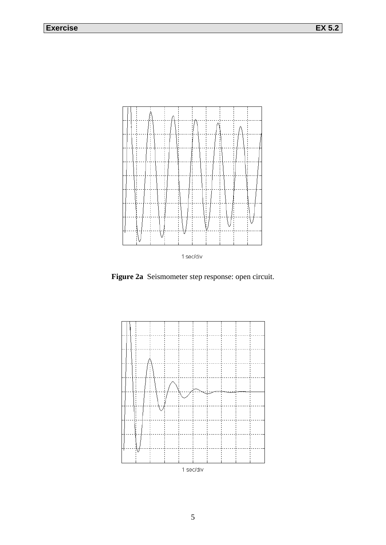

**Figure 2a** Seismometer step response: open circuit.

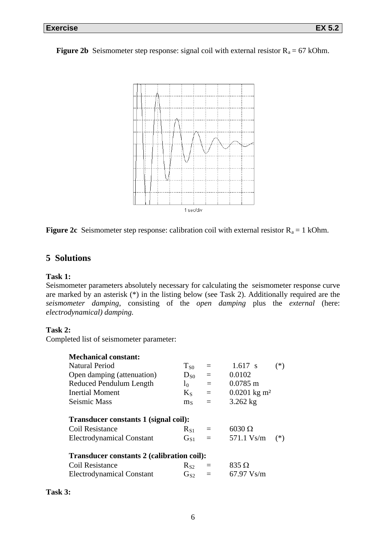**Figure 2b** Seismometer step response: signal coil with external resistor  $R_a = 67$  kOhm.



**Figure 2c** Seismometer step response: calibration coil with external resistor  $R_a = 1$  kOhm.

## **5 Solutions**

#### **Task 1:**

Seismometer parameters absolutely necessary for calculating the seismometer response curve are marked by an asterisk (\*) in the listing below (see Task 2). Additionally required are the *seismometer damping*, consisting of the *open damping* plus the *external* (here: *electrodynamical) damping.*

### **Task 2:**

Completed list of seismometer parameter:

| <b>Mechanical constant:</b>                       |                            |          |                                 |
|---------------------------------------------------|----------------------------|----------|---------------------------------|
| Natural Period                                    | $T_{S0}$                   | $\equiv$ | $1.617 \text{ s}$<br>$(*)$      |
| Open damping (attenuation)                        | $D_{S0}$                   | $=$      | 0.0102                          |
| Reduced Pendulum Length                           | l <sub>0</sub>             | $=$      | $0.0785$ m                      |
| Inertial Moment                                   | $K_{S}$                    | $=$      | $0.0201 \text{ kg} \text{ m}^2$ |
| Seismic Mass                                      | $\rm m_{S}$                | $\equiv$ | $3.262$ kg                      |
| Transducer constants 1 (signal coil):             |                            |          |                                 |
| Coil Resistance                                   | $R_{S1}$                   | $\equiv$ | $6030 \Omega$                   |
| <b>Electrodynamical Constant</b>                  | $\mathrm{G}_{\mathrm{S1}}$ | $=$      | 571.1 Vs/m<br>$(*)$             |
| <b>Transducer constants 2 (calibration coil):</b> |                            |          |                                 |
| Coil Resistance                                   | $R_{S2}$                   | $\equiv$ | $835 \Omega$                    |
|                                                   |                            |          |                                 |

| ïЯ<br>. .<br>π<br>n |
|---------------------|
|---------------------|